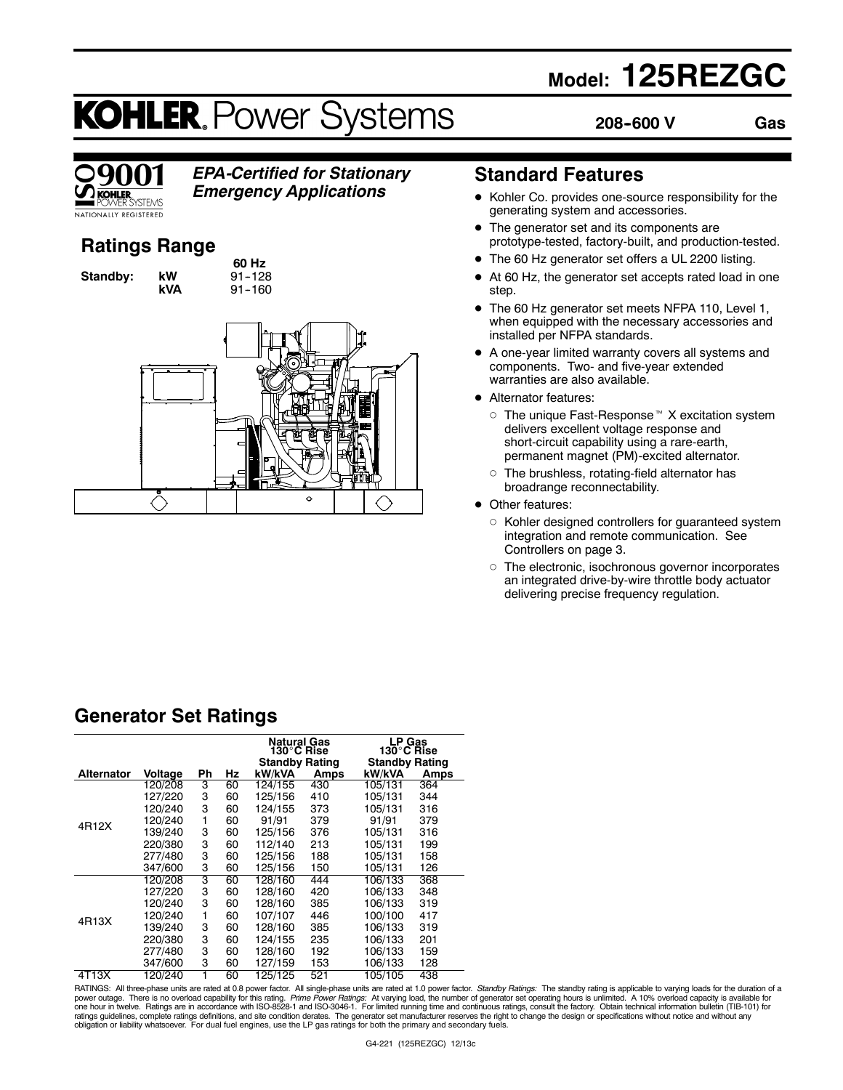# **Model: 125REZGC**

**208--600 V Gas**

# **KOHLER. Power Systems**



## *EPA-Certified for Stationary*

*Emergency Applications*

### **Ratings Range**

**Standby: kW** 

**60 Hz kVA** 91-160



### **Standard Features**

- Kohler Co. provides one-source responsibility for the generating system and accessories.
- The generator set and its components are prototype-tested, factory-built, and production-tested.
- The 60 Hz generator set offers a UL 2200 listing.
- At 60 Hz, the generator set accepts rated load in one step.
- The 60 Hz generator set meets NFPA 110, Level 1, when equipped with the necessary accessories and installed per NFPA standards.
- A one-year limited warranty covers all systems and components. Two- and five-year extended warranties are also available.
- **•** Alternator features:
	- $\circ$  The unique Fast-Response  $M$  X excitation system delivers excellent voltage response and short-circuit capability using a rare-earth, permanent magnet (PM)-excited alternator.
	- $\circ$  The brushless, rotating-field alternator has broadrange reconnectability.
- Other features:
	- $\circ$  Kohler designed controllers for guaranteed system integration and remote communication. See Controllers on page 3.
	- $\circ$  The electronic, isochronous governor incorporates an integrated drive-by-wire throttle body actuator delivering precise frequency regulation.

### **Generator Set Ratings**

|                   |         |    |    | <b>Natural Gas</b><br>130°C Rise<br><b>Standby Rating</b> |      | <b>LP Gas</b><br>130°C Rise<br><b>Standby Rating</b> |      |
|-------------------|---------|----|----|-----------------------------------------------------------|------|------------------------------------------------------|------|
| <b>Alternator</b> | Voltage | Ph | Hz | kW/kVA                                                    | Amps | kW/kVA                                               | Amps |
|                   | 120/208 | 3  | 60 | 124/155                                                   | 430  | 105/131                                              | 364  |
|                   | 127/220 | 3  | 60 | 125/156                                                   | 410  | 105/131                                              | 344  |
|                   | 120/240 | 3  | 60 | 124/155                                                   | 373  | 105/131                                              | 316  |
| 4R12X             | 120/240 | 1  | 60 | 91/91                                                     | 379  | 91/91                                                | 379  |
|                   | 139/240 | 3  | 60 | 125/156                                                   | 376  | 105/131                                              | 316  |
|                   | 220/380 | 3  | 60 | 112/140                                                   | 213  | 105/131                                              | 199  |
|                   | 277/480 | 3  | 60 | 125/156                                                   | 188  | 105/131                                              | 158  |
|                   | 347/600 | 3  | 60 | 125/156                                                   | 150  | 105/131                                              | 126  |
|                   | 120/208 | 3  | 60 | 128/160                                                   | 444  | 106/133                                              | 368  |
|                   | 127/220 | 3  | 60 | 128/160                                                   | 420  | 106/133                                              | 348  |
|                   | 120/240 | 3  | 60 | 128/160                                                   | 385  | 106/133                                              | 319  |
| 4R13X             | 120/240 | 1  | 60 | 107/107                                                   | 446  | 100/100                                              | 417  |
|                   | 139/240 | 3  | 60 | 128/160                                                   | 385  | 106/133                                              | 319  |
|                   | 220/380 | 3  | 60 | 124/155                                                   | 235  | 106/133                                              | 201  |
|                   | 277/480 | 3  | 60 | 128/160                                                   | 192  | 106/133                                              | 159  |
|                   | 347/600 | 3  | 60 | 127/159                                                   | 153  | 106/133                                              | 128  |
| 4T13X             | 120/240 |    | 60 | 125/125                                                   | 521  | 105/105                                              | 438  |

RATINGS: All three-phase units are rated at 0.8 power factor. All single-phase units are rated at 1.0 power factor. Standby Ratings: The standby rating is applicable to varying loads for the duration of a power outage. There is no overload capability for this rating. *Prime Power Ratings:* At varying load, the number of generator set operating hours is unlimited. A 10% overload capacity is available for<br>one hour in twelve. ratings guidelines, complete ratings definitions, and site condition derates. The generator set manufacturer reserves the right to change the design or specifications without notice and without any<br>obligation or liability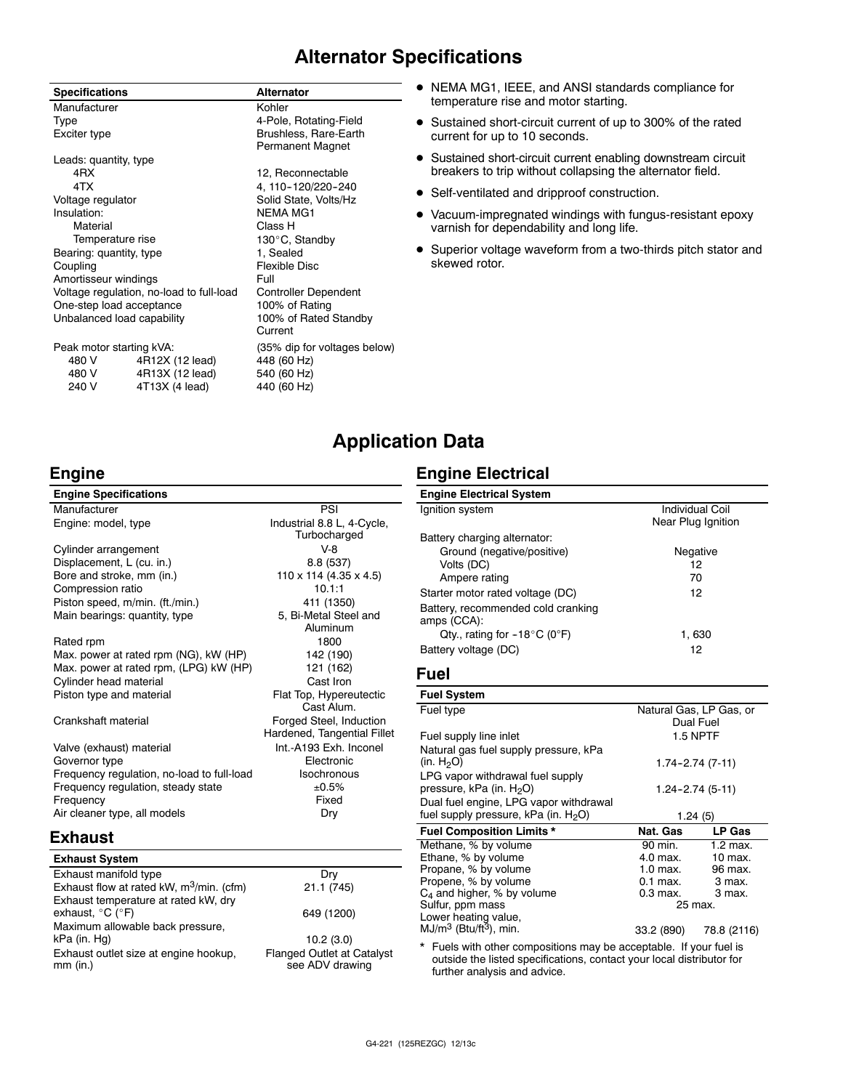### **Alternator Specifications**

| <b>Specifications</b>      |                                          | <b>Alternator</b>                                |
|----------------------------|------------------------------------------|--------------------------------------------------|
| Manufacturer               |                                          | Kohler                                           |
| Type                       |                                          | 4-Pole, Rotating-Field                           |
| Exciter type               |                                          | Brushless, Rare-Earth<br><b>Permanent Magnet</b> |
| Leads: quantity, type      |                                          |                                                  |
| 4RX                        |                                          | 12, Reconnectable                                |
| 4TX                        |                                          | 4, 110-120/220-240                               |
| Voltage regulator          |                                          | Solid State, Volts/Hz                            |
| Insulation:                |                                          | <b>NEMA MG1</b>                                  |
| Material                   |                                          | Class H                                          |
| Temperature rise           |                                          | 130°C, Standby                                   |
| Bearing: quantity, type    |                                          | 1, Sealed                                        |
| Coupling                   |                                          | Flexible Disc                                    |
| Amortisseur windings       |                                          | Full                                             |
|                            | Voltage regulation, no-load to full-load | Controller Dependent                             |
| One-step load acceptance   |                                          | 100% of Rating                                   |
| Unbalanced load capability |                                          | 100% of Rated Standby<br>Current                 |
| Peak motor starting kVA:   |                                          | (35% dip for voltages below)                     |
| 480 V                      | 4R12X (12 lead)                          | 448 (60 Hz)                                      |
| 480 V                      | 4R13X (12 lead)                          | 540 (60 Hz)                                      |
| 240 V                      | 4T13X (4 lead)                           | 440 (60 Hz)                                      |

- $\bullet$  NEMA MG1, IEEE, and ANSI standards compliance for temperature rise and motor starting.
- Sustained short-circuit current of up to 300% of the rated current for up to 10 seconds.
- Sustained short-circuit current enabling downstream circuit breakers to trip without collapsing the alternator field.
- Self-ventilated and dripproof construction.
- $\bullet$  Vacuum-impregnated windings with fungus-resistant epoxy varnish for dependability and long life.
- Superior voltage waveform from a two-thirds pitch stator and skewed rotor.

### **Application Data**

### **Engine**

| <b>Engine Specifications</b>               |                                                        |
|--------------------------------------------|--------------------------------------------------------|
| Manufacturer                               | PSI                                                    |
| Engine: model, type                        | Industrial 8.8 L, 4-Cycle,<br>Turbocharged             |
| Cylinder arrangement                       | $V-8$                                                  |
| Displacement, L (cu. in.)                  | 8.8 (537)                                              |
| Bore and stroke, mm (in.)                  | $110 \times 114$ (4.35 x 4.5)                          |
| Compression ratio                          | 10.1:1                                                 |
| Piston speed, m/min. (ft./min.)            | 411 (1350)                                             |
| Main bearings: quantity, type              | 5, Bi-Metal Steel and                                  |
|                                            | Aluminum                                               |
| Rated rpm                                  | 1800                                                   |
| Max. power at rated rpm (NG), kW (HP)      | 142 (190)                                              |
| Max. power at rated rpm, (LPG) kW (HP)     | 121 (162)                                              |
| Cylinder head material                     | Cast Iron                                              |
| Piston type and material                   | Flat Top, Hypereutectic<br>Cast Alum.                  |
| Crankshaft material                        | Forged Steel, Induction<br>Hardened, Tangential Fillet |
| Valve (exhaust) material                   | Int.-A193 Exh. Inconel                                 |
| Governor type                              | Electronic                                             |
| Frequency regulation, no-load to full-load | Isochronous                                            |
| Frequency regulation, steady state         | ±0.5%                                                  |
| Frequency                                  | Fixed                                                  |
| Air cleaner type, all models               | Dry                                                    |
| Fyhauet                                    |                                                        |

### **Exhaust**

| <b>Exhaust System</b>                                |                                                      |
|------------------------------------------------------|------------------------------------------------------|
| Exhaust manifold type                                | Dry                                                  |
| Exhaust flow at rated kW, m <sup>3</sup> /min. (cfm) | 21.1 (745)                                           |
| Exhaust temperature at rated kW, dry                 |                                                      |
| exhaust, °C (°F)                                     | 649 (1200)                                           |
| Maximum allowable back pressure,                     |                                                      |
| kPa (in. Hg)                                         | 10.2(3.0)                                            |
| Exhaust outlet size at engine hookup,<br>$mm$ (in.)  | <b>Flanged Outlet at Catalyst</b><br>see ADV drawing |

### **Engine Electrical**

| <b>Engine Electrical System</b>        |                        |
|----------------------------------------|------------------------|
| Ignition system                        | <b>Individual Coil</b> |
|                                        | Near Plug Ignition     |
| Battery charging alternator:           |                        |
| Ground (negative/positive)             | Negative               |
| Volts (DC)                             | 12                     |
| Ampere rating                          | 70                     |
| Starter motor rated voltage (DC)       | 12                     |
| Battery, recommended cold cranking     |                        |
| amps (CCA):                            |                        |
| Qty., rating for $-18^{\circ}$ C (0°F) | 1.630                  |
| Battery voltage (DC)                   | 12                     |

#### **Fuel**

| <b>Fuel System</b>                      |                         |                 |
|-----------------------------------------|-------------------------|-----------------|
| Fuel type                               | Natural Gas, LP Gas, or |                 |
|                                         | Dual Fuel               |                 |
| Fuel supply line inlet                  |                         | <b>1.5 NPTF</b> |
| Natural gas fuel supply pressure, kPa   |                         |                 |
| (in. $H_2O$ )                           | $1.74 - 2.74(7-11)$     |                 |
| LPG vapor withdrawal fuel supply        |                         |                 |
| pressure, kPa (in. H <sub>2</sub> O)    | 1.24-2.74 (5-11)        |                 |
| Dual fuel engine, LPG vapor withdrawal  |                         |                 |
| fuel supply pressure, kPa (in. $H_2O$ ) | 1.24(5)                 |                 |
| <b>Fuel Composition Limits *</b>        | Nat. Gas                | LP Gas          |
| Methane, % by volume                    | 90 min.                 | $1.2$ max.      |
| Ethane, % by volume                     | 4.0 max.                | $10$ max.       |
| Propane, % by volume                    | $1.0$ max.              | 96 max.         |
| Propene, % by volume                    | $0.1$ max.              | 3 max.          |
| $C_4$ and higher, % by volume           | 0.3 max.                | 3 max.          |
| Sulfur, ppm mass                        | 25 max.                 |                 |
| Lower heating value,                    |                         |                 |
| $MJ/m3$ (Btu/ft <sup>3</sup> ), min.    | 33.2 (890)              | 78.8 (2116)     |

\* Fuels with other compositions may be acceptable. If your fuel is outside the listed specifications, contact your local distributor for further analysis and advice.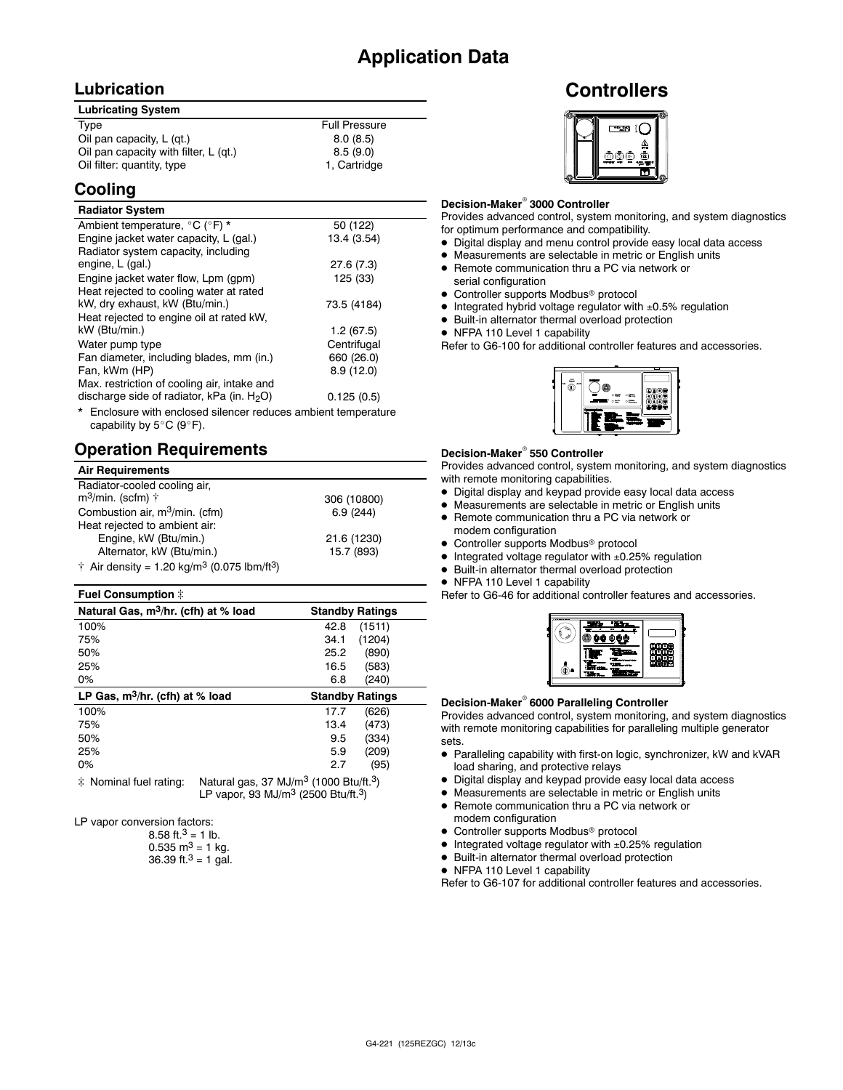### **Lubrication**

| <b>Lubricating System</b>             |                      |
|---------------------------------------|----------------------|
| Type                                  | <b>Full Pressure</b> |
| Oil pan capacity, L (gt.)             | 8.0(8.5)             |
| Oil pan capacity with filter, L (qt.) | 8.5(9.0)             |
| Oil filter: quantity, type            | 1, Cartridge         |

### **Cooling**

#### **Radiator System**

| Ambient temperature, °C (°F) *                                 | 50 (122)    |
|----------------------------------------------------------------|-------------|
| Engine jacket water capacity, L (gal.)                         | 13.4 (3.54) |
| Radiator system capacity, including                            |             |
| engine, L (gal.)                                               | 27.6(7.3)   |
| Engine jacket water flow, Lpm (gpm)                            | 125 (33)    |
| Heat rejected to cooling water at rated                        |             |
| kW, dry exhaust, kW (Btu/min.)                                 | 73.5 (4184) |
| Heat rejected to engine oil at rated kW,                       |             |
| kW (Btu/min.)                                                  | 1.2(67.5)   |
| Water pump type                                                | Centrifugal |
| Fan diameter, including blades, mm (in.)                       | 660 (26.0)  |
| Fan, kWm (HP)                                                  | 8.9 (12.0)  |
| Max. restriction of cooling air, intake and                    |             |
| discharge side of radiator, kPa (in. $H_2O$ )                  | 0.125(0.5)  |
| * Englacure with anglesed eileneer reduces embient temperature |             |

osure with enclosed silencer reduces ambient temperature capability by  $5^{\circ}$ C (9 $^{\circ}$ F).

### **Operation Requirements**

| <b>Air Requirements</b>                                                     |             |
|-----------------------------------------------------------------------------|-------------|
| Radiator-cooled cooling air,                                                |             |
| $m^3$ /min. (scfm) $\uparrow$                                               | 306 (10800) |
| Combustion air, m <sup>3</sup> /min. (cfm)                                  | 6.9(244)    |
| Heat rejected to ambient air:                                               |             |
| Engine, kW (Btu/min.)                                                       | 21.6 (1230) |
| Alternator, kW (Btu/min.)                                                   | 15.7 (893)  |
| $\dagger$ Air density = 1.20 kg/m <sup>3</sup> (0.075 lbm/ft <sup>3</sup> ) |             |

#### **Fuel Consumption**  $\ddot{x}$

| Natural Gas, m <sup>3</sup> /hr. (cfh) at % load | <b>Standby Ratings</b> |
|--------------------------------------------------|------------------------|
| 100%                                             | 42.8<br>(1511)         |
| 75%                                              | (1204)<br>34.1         |
| 50%                                              | (890)<br>25.2          |
| 25%                                              | (583)<br>16.5          |
| $0\%$                                            | (240)<br>6.8           |
|                                                  |                        |
| LP Gas, $m^3/hr$ . (cfh) at % load               | <b>Standby Ratings</b> |
| 100%                                             | (626)<br>17.7          |
| 75%                                              | (473)<br>13.4          |
| 50%                                              | (334)<br>9.5           |
| 25%                                              | (209)<br>5.9           |
| $0\%$                                            | (95)<br>2.7            |

 $\ddot{\text{*}}$  Nominal fuel rating: Natural gas, 37 MJ/m<sup>3</sup> (1000 Btu/ft.<sup>3</sup>) LP vapor, 93 MJ/m3 (2500 Btu/ft.3)

LP vapor conversion factors:

8.58 ft.<sup>3</sup> = 1 lb. 0.535 m<sup>3</sup> = 1 kg. 36.39 ft. $3 = 1$  gal.

### **Controllers**



#### **Decision-Maker<sup>®</sup> 3000 Controller**

Provides advanced control, system monitoring, and system diagnostics for optimum performance and compatibility.

- $\bullet$  Digital display and menu control provide easy local data access
- Measurements are selectable in metric or English units
- Remote communication thru a PC via network or serial configuration
- Controller supports Modbus<sup>®</sup> protocol
- $\bullet$  Integrated hybrid voltage regulator with  $\pm 0.5\%$  regulation
- $\bullet$  Built-in alternator thermal overload protection
- NFPA 110 Level 1 capability

Refer to G6-100 for additional controller features and accessories.



#### **Decision-Maker<sup>®</sup> 550 Controller**

Provides advanced control, system monitoring, and system diagnostics with remote monitoring capabilities.

- $\bullet$  Digital display and keypad provide easy local data access
- $\bullet$  Measurements are selectable in metric or English units
- Remote communication thru a PC via network or modem configuration
- $\bullet$  Controller supports Modbus<sup>®</sup> protocol
- $\bullet$  Integrated voltage regulator with  $\pm 0.25\%$  regulation
- $\bullet$  Built-in alternator thermal overload protection
- NFPA 110 Level 1 capability

Refer to G6-46 for additional controller features and accessories.



#### **Decision-Maker<sup>®</sup> 6000 Paralleling Controller**

Provides advanced control, system monitoring, and system diagnostics with remote monitoring capabilities for paralleling multiple generator sets.

- Paralleling capability with first-on logic, synchronizer, kW and kVAR load sharing, and protective relays
- $\bullet$  Digital display and keypad provide easy local data access
- $\bullet$  Measurements are selectable in metric or English units
- Remote communication thru a PC via network or
- modem configuration
- Controller supports Modbus<sup>®</sup> protocol
- $\bullet$  Integrated voltage regulator with  $\pm 0.25\%$  regulation
- $\bullet$  Built-in alternator thermal overload protection
- NFPA 110 Level 1 capability

Refer to G6-107 for additional controller features and accessories.